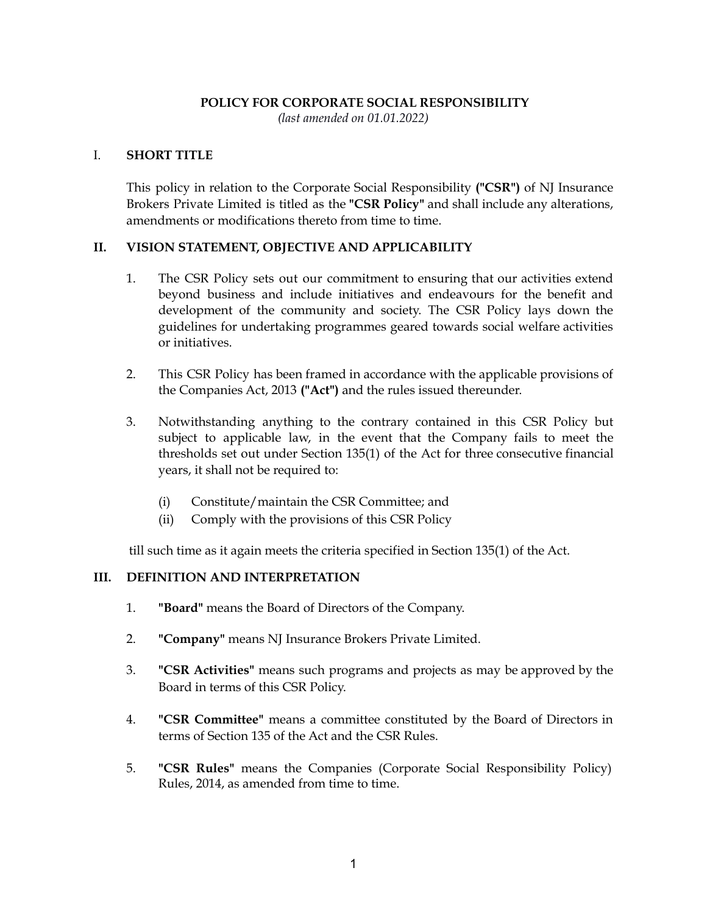#### **POLICY FOR CORPORATE SOCIAL RESPONSIBILITY**

*(last amended on 01.01.2022)*

#### I. **SHORT TITLE**

This policy in relation to the Corporate Social Responsibility **("CSR")** of NJ Insurance Brokers Private Limited is titled as the **"CSR Policy"** and shall include any alterations, amendments or modifications thereto from time to time.

### **II. VISION STATEMENT, OBJECTIVE AND APPLICABILITY**

- 1. The CSR Policy sets out our commitment to ensuring that our activities extend beyond business and include initiatives and endeavours for the benefit and development of the community and society. The CSR Policy lays down the guidelines for undertaking programmes geared towards social welfare activities or initiatives.
- 2. This CSR Policy has been framed in accordance with the applicable provisions of the Companies Act, 2013 **("Act")** and the rules issued thereunder.
- 3. Notwithstanding anything to the contrary contained in this CSR Policy but subject to applicable law, in the event that the Company fails to meet the thresholds set out under Section 135(1) of the Act for three consecutive financial years, it shall not be required to:
	- (i) Constitute/maintain the CSR Committee; and
	- (ii) Comply with the provisions of this CSR Policy

till such time as it again meets the criteria specified in Section 135(1) of the Act.

#### **III. DEFINITION AND INTERPRETATION**

- 1. **"Board"** means the Board of Directors of the Company.
- 2. **"Company"** means NJ Insurance Brokers Private Limited.
- 3. **"CSR Activities"** means such programs and projects as may be approved by the Board in terms of this CSR Policy.
- 4. **"CSR Committee"** means a committee constituted by the Board of Directors in terms of Section 135 of the Act and the CSR Rules.
- 5. **"CSR Rules"** means the Companies (Corporate Social Responsibility Policy) Rules, 2014, as amended from time to time.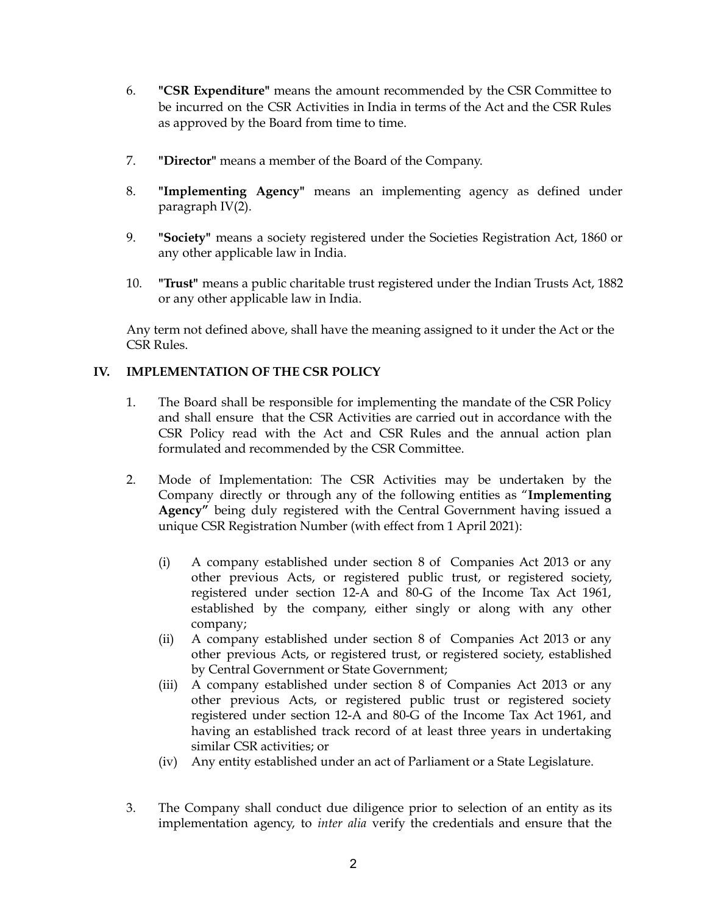- 6. **"CSR Expenditure"** means the amount recommended by the CSR Committee to be incurred on the CSR Activities in India in terms of the Act and the CSR Rules as approved by the Board from time to time.
- 7. **"Director"** means a member of the Board of the Company.
- 8. **"Implementing Agency"** means an implementing agency as defined under paragraph IV(2).
- 9. **"Society"** means a society registered under the Societies Registration Act, 1860 or any other applicable law in India.
- 10. **"Trust"** means a public charitable trust registered under the Indian Trusts Act, 1882 or any other applicable law in India.

Any term not defined above, shall have the meaning assigned to it under the Act or the CSR Rules.

### **IV. IMPLEMENTATION OF THE CSR POLICY**

- 1. The Board shall be responsible for implementing the mandate of the CSR Policy and shall ensure that the CSR Activities are carried out in accordance with the CSR Policy read with the Act and CSR Rules and the annual action plan formulated and recommended by the CSR Committee.
- 2. Mode of Implementation: The CSR Activities may be undertaken by the Company directly or through any of the following entities as "**Implementing Agency"** being duly registered with the Central Government having issued a unique CSR Registration Number (with effect from 1 April 2021):
	- (i) A company established under section 8 of Companies Act 2013 or any other previous Acts, or registered public trust, or registered society, registered under section 12-A and 80-G of the Income Tax Act 1961, established by the company, either singly or along with any other company;
	- (ii) A company established under section 8 of Companies Act 2013 or any other previous Acts, or registered trust, or registered society, established by Central Government or State Government;
	- (iii) A company established under section 8 of Companies Act 2013 or any other previous Acts, or registered public trust or registered society registered under section 12-A and 80-G of the Income Tax Act 1961, and having an established track record of at least three years in undertaking similar CSR activities; or
	- (iv) Any entity established under an act of Parliament or a State Legislature.
- 3. The Company shall conduct due diligence prior to selection of an entity as its implementation agency, to *inter alia* verify the credentials and ensure that the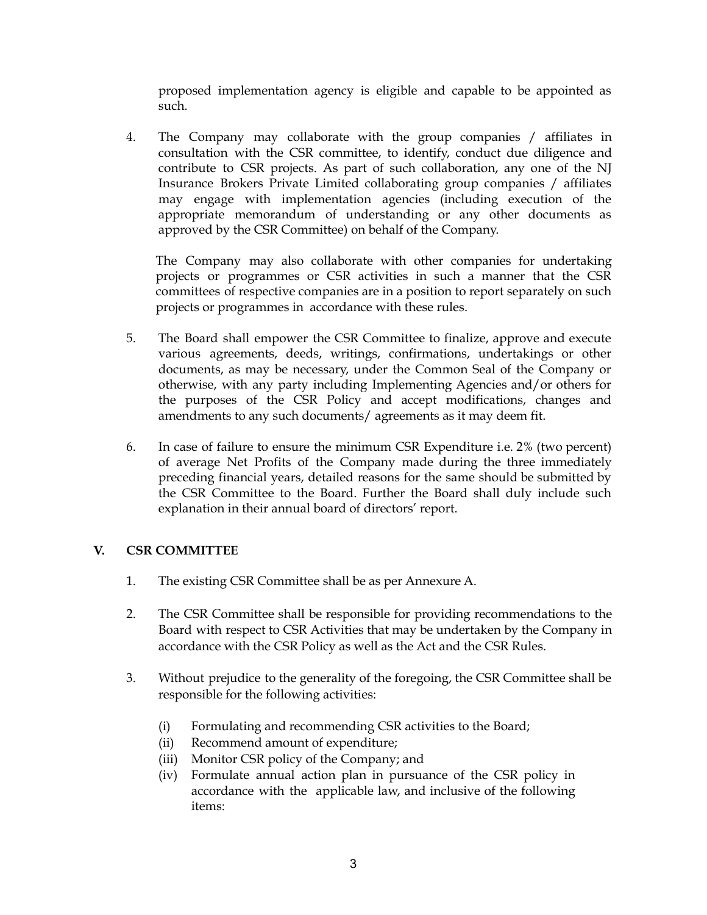proposed implementation agency is eligible and capable to be appointed as such.

4. The Company may collaborate with the group companies / affiliates in consultation with the CSR committee, to identify, conduct due diligence and contribute to CSR projects. As part of such collaboration, any one of the NJ Insurance Brokers Private Limited collaborating group companies / affiliates may engage with implementation agencies (including execution of the appropriate memorandum of understanding or any other documents as approved by the CSR Committee) on behalf of the Company.

The Company may also collaborate with other companies for undertaking projects or programmes or CSR activities in such a manner that the CSR committees of respective companies are in a position to report separately on such projects or programmes in accordance with these rules.

- 5. The Board shall empower the CSR Committee to finalize, approve and execute various agreements, deeds, writings, confirmations, undertakings or other documents, as may be necessary, under the Common Seal of the Company or otherwise, with any party including Implementing Agencies and/or others for the purposes of the CSR Policy and accept modifications, changes and amendments to any such documents/ agreements as it may deem fit.
- 6. In case of failure to ensure the minimum CSR Expenditure i.e. 2% (two percent) of average Net Profits of the Company made during the three immediately preceding financial years, detailed reasons for the same should be submitted by the CSR Committee to the Board. Further the Board shall duly include such explanation in their annual board of directors' report.

# **V. CSR COMMITTEE**

- 1. The existing CSR Committee shall be as per Annexure A.
- 2. The CSR Committee shall be responsible for providing recommendations to the Board with respect to CSR Activities that may be undertaken by the Company in accordance with the CSR Policy as well as the Act and the CSR Rules.
- 3. Without prejudice to the generality of the foregoing, the CSR Committee shall be responsible for the following activities:
	- (i) Formulating and recommending CSR activities to the Board;
	- (ii) Recommend amount of expenditure;
	- (iii) Monitor CSR policy of the Company; and
	- (iv) Formulate annual action plan in pursuance of the CSR policy in accordance with the applicable law, and inclusive of the following items: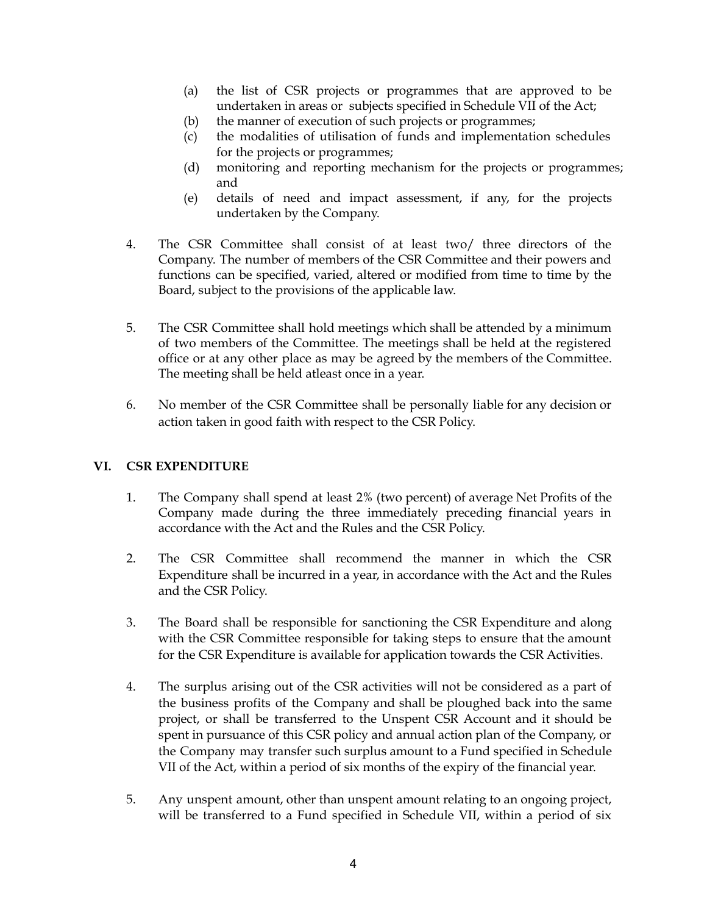- (a) the list of CSR projects or programmes that are approved to be undertaken in areas or subjects specified in Schedule VII of the Act;
- (b) the manner of execution of such projects or programmes;
- (c) the modalities of utilisation of funds and implementation schedules for the projects or programmes;
- (d) monitoring and reporting mechanism for the projects or programmes; and
- (e) details of need and impact assessment, if any, for the projects undertaken by the Company.
- 4. The CSR Committee shall consist of at least two/ three directors of the Company. The number of members of the CSR Committee and their powers and functions can be specified, varied, altered or modified from time to time by the Board, subject to the provisions of the applicable law.
- 5. The CSR Committee shall hold meetings which shall be attended by a minimum of two members of the Committee. The meetings shall be held at the registered office or at any other place as may be agreed by the members of the Committee. The meeting shall be held atleast once in a year.
- 6. No member of the CSR Committee shall be personally liable for any decision or action taken in good faith with respect to the CSR Policy.

### **VI. CSR EXPENDITURE**

- 1. The Company shall spend at least 2% (two percent) of average Net Profits of the Company made during the three immediately preceding financial years in accordance with the Act and the Rules and the CSR Policy.
- 2. The CSR Committee shall recommend the manner in which the CSR Expenditure shall be incurred in a year, in accordance with the Act and the Rules and the CSR Policy.
- 3. The Board shall be responsible for sanctioning the CSR Expenditure and along with the CSR Committee responsible for taking steps to ensure that the amount for the CSR Expenditure is available for application towards the CSR Activities.
- 4. The surplus arising out of the CSR activities will not be considered as a part of the business profits of the Company and shall be ploughed back into the same project, or shall be transferred to the Unspent CSR Account and it should be spent in pursuance of this CSR policy and annual action plan of the Company, or the Company may transfer such surplus amount to a Fund specified in Schedule VII of the Act, within a period of six months of the expiry of the financial year.
- 5. Any unspent amount, other than unspent amount relating to an ongoing project, will be transferred to a Fund specified in Schedule VII, within a period of six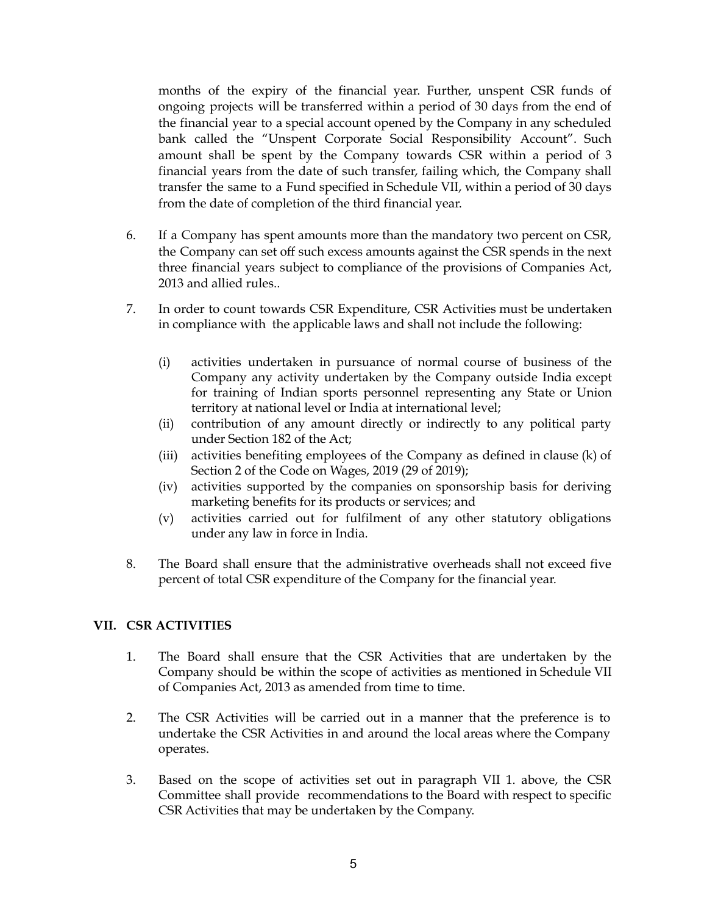months of the expiry of the financial year. Further, unspent CSR funds of ongoing projects will be transferred within a period of 30 days from the end of the financial year to a special account opened by the Company in any scheduled bank called the "Unspent Corporate Social Responsibility Account". Such amount shall be spent by the Company towards CSR within a period of 3 financial years from the date of such transfer, failing which, the Company shall transfer the same to a Fund specified in Schedule VII, within a period of 30 days from the date of completion of the third financial year.

- 6. If a Company has spent amounts more than the mandatory two percent on CSR, the Company can set off such excess amounts against the CSR spends in the next three financial years subject to compliance of the provisions of Companies Act, 2013 and allied rules..
- 7. In order to count towards CSR Expenditure, CSR Activities must be undertaken in compliance with the applicable laws and shall not include the following:
	- (i) activities undertaken in pursuance of normal course of business of the Company any activity undertaken by the Company outside India except for training of Indian sports personnel representing any State or Union territory at national level or India at international level;
	- (ii) contribution of any amount directly or indirectly to any political party under Section 182 of the Act;
	- (iii) activities benefiting employees of the Company as defined in clause (k) of Section 2 of the Code on Wages, 2019 (29 of 2019);
	- (iv) activities supported by the companies on sponsorship basis for deriving marketing benefits for its products or services; and
	- (v) activities carried out for fulfilment of any other statutory obligations under any law in force in India.
- 8. The Board shall ensure that the administrative overheads shall not exceed five percent of total CSR expenditure of the Company for the financial year.

# **VII. CSR ACTIVITIES**

- 1. The Board shall ensure that the CSR Activities that are undertaken by the Company should be within the scope of activities as mentioned in Schedule VII of Companies Act, 2013 as amended from time to time.
- 2. The CSR Activities will be carried out in a manner that the preference is to undertake the CSR Activities in and around the local areas where the Company operates.
- 3. Based on the scope of activities set out in paragraph VII 1. above, the CSR Committee shall provide recommendations to the Board with respect to specific CSR Activities that may be undertaken by the Company.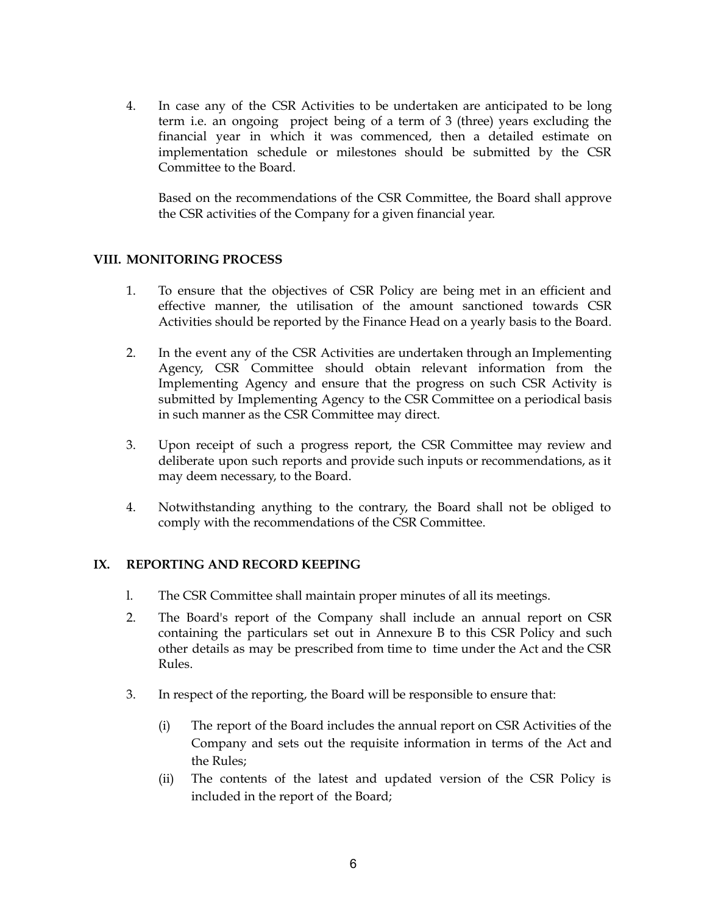4. In case any of the CSR Activities to be undertaken are anticipated to be long term i.e. an ongoing project being of a term of 3 (three) years excluding the financial year in which it was commenced, then a detailed estimate on implementation schedule or milestones should be submitted by the CSR Committee to the Board.

Based on the recommendations of the CSR Committee, the Board shall approve the CSR activities of the Company for a given financial year.

### **VIII. MONITORING PROCESS**

- 1. To ensure that the objectives of CSR Policy are being met in an efficient and effective manner, the utilisation of the amount sanctioned towards CSR Activities should be reported by the Finance Head on a yearly basis to the Board.
- 2. In the event any of the CSR Activities are undertaken through an Implementing Agency, CSR Committee should obtain relevant information from the Implementing Agency and ensure that the progress on such CSR Activity is submitted by Implementing Agency to the CSR Committee on a periodical basis in such manner as the CSR Committee may direct.
- 3. Upon receipt of such a progress report, the CSR Committee may review and deliberate upon such reports and provide such inputs or recommendations, as it may deem necessary, to the Board.
- 4. Notwithstanding anything to the contrary, the Board shall not be obliged to comply with the recommendations of the CSR Committee.

#### **IX. REPORTING AND RECORD KEEPING**

- l. The CSR Committee shall maintain proper minutes of all its meetings.
- 2. The Board's report of the Company shall include an annual report on CSR containing the particulars set out in Annexure B to this CSR Policy and such other details as may be prescribed from time to time under the Act and the CSR Rules.
- 3. In respect of the reporting, the Board will be responsible to ensure that:
	- (i) The report of the Board includes the annual report on CSR Activities of the Company and sets out the requisite information in terms of the Act and the Rules;
	- (ii) The contents of the latest and updated version of the CSR Policy is included in the report of the Board;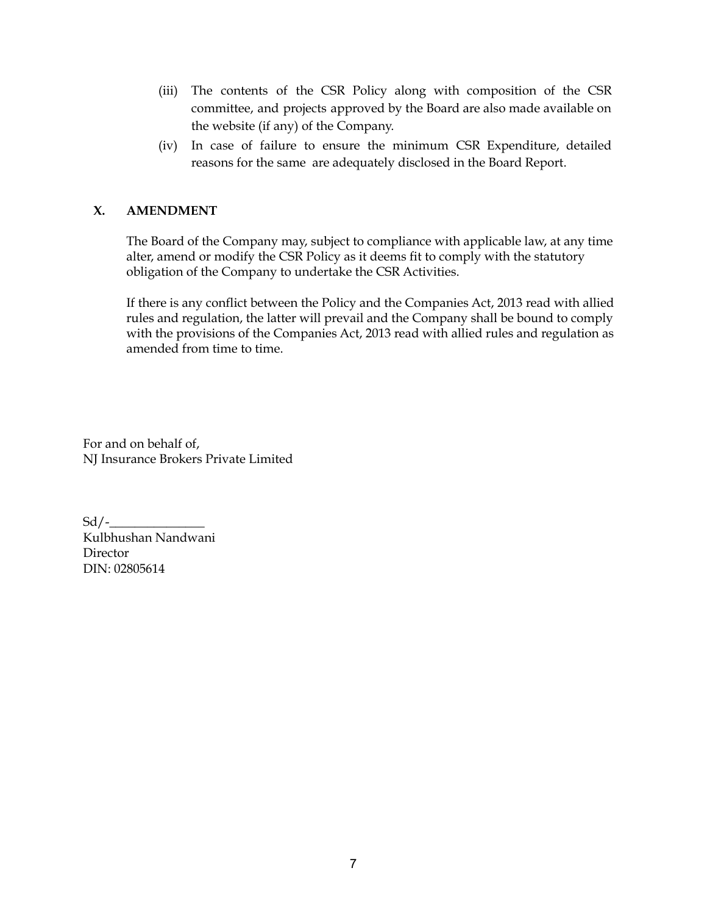- (iii) The contents of the CSR Policy along with composition of the CSR committee, and projects approved by the Board are also made available on the website (if any) of the Company.
- (iv) In case of failure to ensure the minimum CSR Expenditure, detailed reasons for the same are adequately disclosed in the Board Report.

## **X. AMENDMENT**

The Board of the Company may, subject to compliance with applicable law, at any time alter, amend or modify the CSR Policy as it deems fit to comply with the statutory obligation of the Company to undertake the CSR Activities.

If there is any conflict between the Policy and the Companies Act, 2013 read with allied rules and regulation, the latter will prevail and the Company shall be bound to comply with the provisions of the Companies Act, 2013 read with allied rules and regulation as amended from time to time.

For and on behalf of, NJ Insurance Brokers Private Limited

 $Sd$  / -Kulbhushan Nandwani Director DIN: 02805614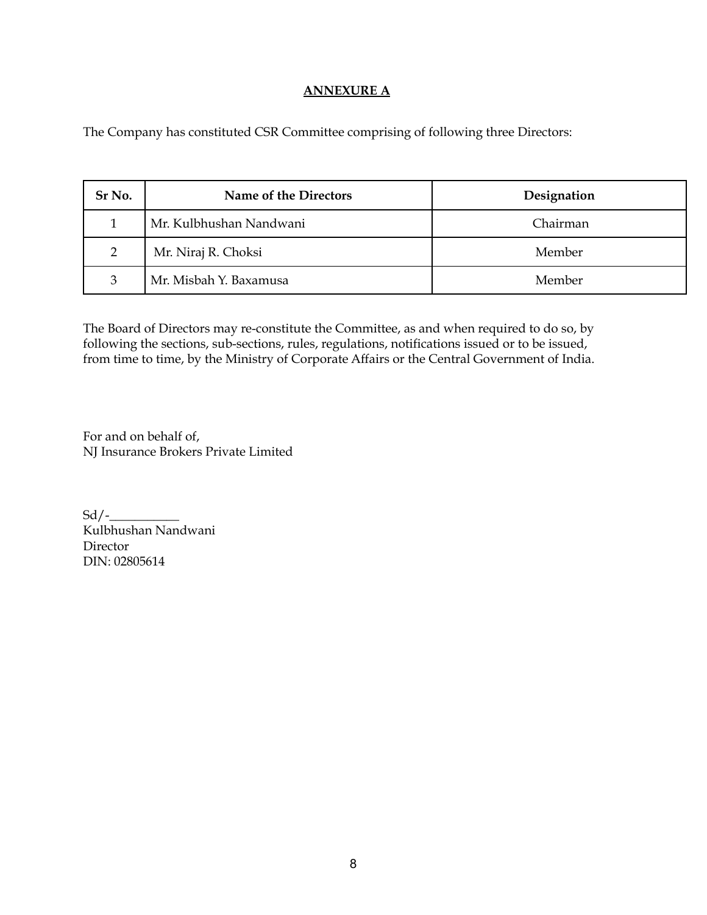### **ANNEXURE A**

The Company has constituted CSR Committee comprising of following three Directors:

| Sr No.         | Name of the Directors   | Designation |
|----------------|-------------------------|-------------|
|                | Mr. Kulbhushan Nandwani | Chairman    |
| $\overline{2}$ | Mr. Niraj R. Choksi     | Member      |
| 3              | Mr. Misbah Y. Baxamusa  | Member      |

The Board of Directors may re-constitute the Committee, as and when required to do so, by following the sections, sub-sections, rules, regulations, notifications issued or to be issued, from time to time, by the Ministry of Corporate Affairs or the Central Government of India.

For and on behalf of, NJ Insurance Brokers Private Limited

 $Sd$  /-Kulbhushan Nandwani Director DIN: 02805614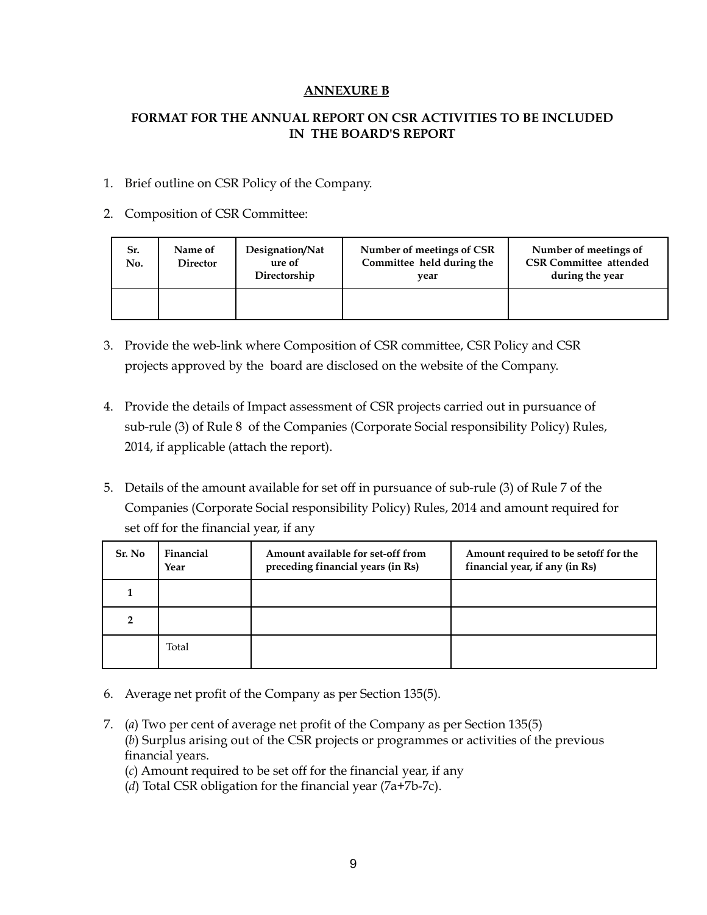### **ANNEXURE B**

## **FORMAT FOR THE ANNUAL REPORT ON CSR ACTIVITIES TO BE INCLUDED IN THE BOARD'S REPORT**

### 1. Brief outline on CSR Policy of the Company.

### 2. Composition of CSR Committee:

| Sr.<br>No. | Name of<br><b>Director</b> | Designation/Nat<br>ure of<br>Directorship | Number of meetings of CSR<br>Committee held during the<br>vear | Number of meetings of<br><b>CSR Committee attended</b><br>during the year |
|------------|----------------------------|-------------------------------------------|----------------------------------------------------------------|---------------------------------------------------------------------------|
|            |                            |                                           |                                                                |                                                                           |

- 3. Provide the web-link where Composition of CSR committee, CSR Policy and CSR projects approved by the board are disclosed on the website of the Company.
- 4. Provide the details of Impact assessment of CSR projects carried out in pursuance of sub-rule (3) of Rule 8 of the Companies (Corporate Social responsibility Policy) Rules, 2014, if applicable (attach the report).
- 5. Details of the amount available for set off in pursuance of sub-rule (3) of Rule 7 of the Companies (Corporate Social responsibility Policy) Rules, 2014 and amount required for set off for the financial year, if any

| Sr. No | Financial<br>Year | Amount available for set-off from<br>preceding financial years (in Rs) | Amount required to be set of for the<br>financial year, if any (in Rs) |  |
|--------|-------------------|------------------------------------------------------------------------|------------------------------------------------------------------------|--|
|        |                   |                                                                        |                                                                        |  |
|        |                   |                                                                        |                                                                        |  |
|        | Total             |                                                                        |                                                                        |  |

- 6. Average net profit of the Company as per Section 135(5).
- 7. (*a*) Two per cent of average net profit of the Company as per Section 135(5) (*b*) Surplus arising out of the CSR projects or programmes or activities of the previous financial years.

(*c*) Amount required to be set off for the financial year, if any

(*d*) Total CSR obligation for the financial year (7a+7b-7c).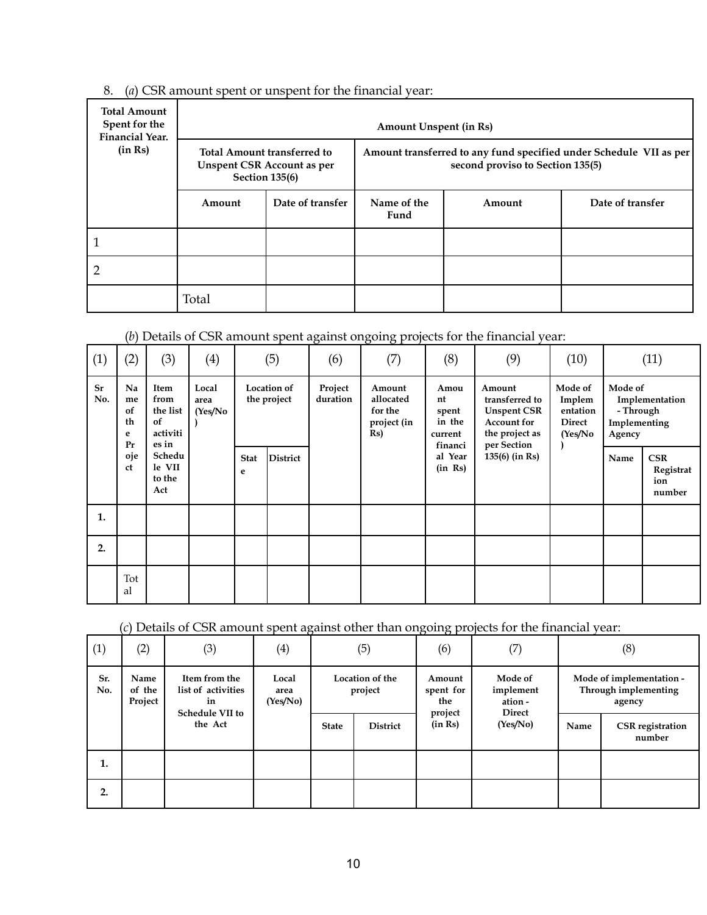| 8. (a) CSR amount spent or unspent for the financial year: |  |  |  |  |  |
|------------------------------------------------------------|--|--|--|--|--|
|------------------------------------------------------------|--|--|--|--|--|

| <b>Total Amount</b><br>Spent for the<br><b>Financial Year.</b> |                       | <b>Amount Unspent (in Rs)</b>                                           |                                                                                                        |        |                  |  |  |  |  |  |  |
|----------------------------------------------------------------|-----------------------|-------------------------------------------------------------------------|--------------------------------------------------------------------------------------------------------|--------|------------------|--|--|--|--|--|--|
| (in Rs)                                                        | <b>Section 135(6)</b> | <b>Total Amount transferred to</b><br><b>Unspent CSR Account as per</b> | Amount transferred to any fund specified under Schedule VII as per<br>second proviso to Section 135(5) |        |                  |  |  |  |  |  |  |
|                                                                | Amount                | Date of transfer                                                        | Name of the<br>Fund                                                                                    | Amount | Date of transfer |  |  |  |  |  |  |
|                                                                |                       |                                                                         |                                                                                                        |        |                  |  |  |  |  |  |  |
|                                                                |                       |                                                                         |                                                                                                        |        |                  |  |  |  |  |  |  |
|                                                                | Total                 |                                                                         |                                                                                                        |        |                  |  |  |  |  |  |  |

# (*b*) Details of CSR amount spent against ongoing projects for the financial year:

| (1)       | (2)                             | (3)                                                                                                       | $\left(4\right)$ |                  | (5)             | (6) | (7)                               | (8)                     | (9)                                                            | (10)                                                |                                                                                                       | (11)                                               |                                                |                |
|-----------|---------------------------------|-----------------------------------------------------------------------------------------------------------|------------------|------------------|-----------------|-----|-----------------------------------|-------------------------|----------------------------------------------------------------|-----------------------------------------------------|-------------------------------------------------------------------------------------------------------|----------------------------------------------------|------------------------------------------------|----------------|
| Sr<br>No. | Na<br>me<br>of<br>th<br>e<br>Pr | Item<br>Local<br>from<br>area<br>the list<br>of<br>activiti<br>es in<br>Schedu<br>le VII<br>to the<br>Act |                  |                  | (Yes/No)        |     | <b>Location of</b><br>the project | Project<br>duration     | Amount<br>allocated<br>for the<br>project (in<br>$\mathbf{Rs}$ | Amou<br>nt<br>spent<br>in the<br>current<br>financi | Amount<br>transferred to<br><b>Unspent CSR</b><br><b>Account for</b><br>the project as<br>per Section | Mode of<br>Implem<br>entation<br>Direct<br>(Yes/No | Mode of<br>- Through<br>Implementing<br>Agency | Implementation |
|           | oje<br>ct                       |                                                                                                           |                  | <b>Stat</b><br>e | <b>District</b> |     |                                   | al Year<br>$(in \; Rs)$ | $135(6)$ (in Rs)                                               |                                                     | Name                                                                                                  | <b>CSR</b><br>Registrat<br>ion<br>number           |                                                |                |
| 1.        |                                 |                                                                                                           |                  |                  |                 |     |                                   |                         |                                                                |                                                     |                                                                                                       |                                                    |                                                |                |
| 2.        |                                 |                                                                                                           |                  |                  |                 |     |                                   |                         |                                                                |                                                     |                                                                                                       |                                                    |                                                |                |
|           | Tot<br>al                       |                                                                                                           |                  |                  |                 |     |                                   |                         |                                                                |                                                     |                                                                                                       |                                                    |                                                |                |

# (*c*) Details of CSR amount spent against other than ongoing projects for the financial year:

| (1)        | (2)                       | (3)                                                                            | . .<br>$\left( 4\right)$  |              | (5)                                               | $\cdot$<br>(6)     | (7)                                              |                                                            | (8)                               |
|------------|---------------------------|--------------------------------------------------------------------------------|---------------------------|--------------|---------------------------------------------------|--------------------|--------------------------------------------------|------------------------------------------------------------|-----------------------------------|
| Sr.<br>No. | Name<br>of the<br>Project | Item from the<br>list of activities<br>in<br><b>Schedule VII to</b><br>the Act | Local<br>area<br>(Yes/No) |              | Location of the<br>Amount<br>project<br>spent for |                    | Mode of<br>implement<br>ation -<br><b>Direct</b> | Mode of implementation -<br>Through implementing<br>agency |                                   |
|            |                           |                                                                                |                           | <b>State</b> | <b>District</b>                                   | project<br>(in Rs) | (Yes/No)                                         | Name                                                       | <b>CSR</b> registration<br>number |
| 1.         |                           |                                                                                |                           |              |                                                   |                    |                                                  |                                                            |                                   |
| 2.         |                           |                                                                                |                           |              |                                                   |                    |                                                  |                                                            |                                   |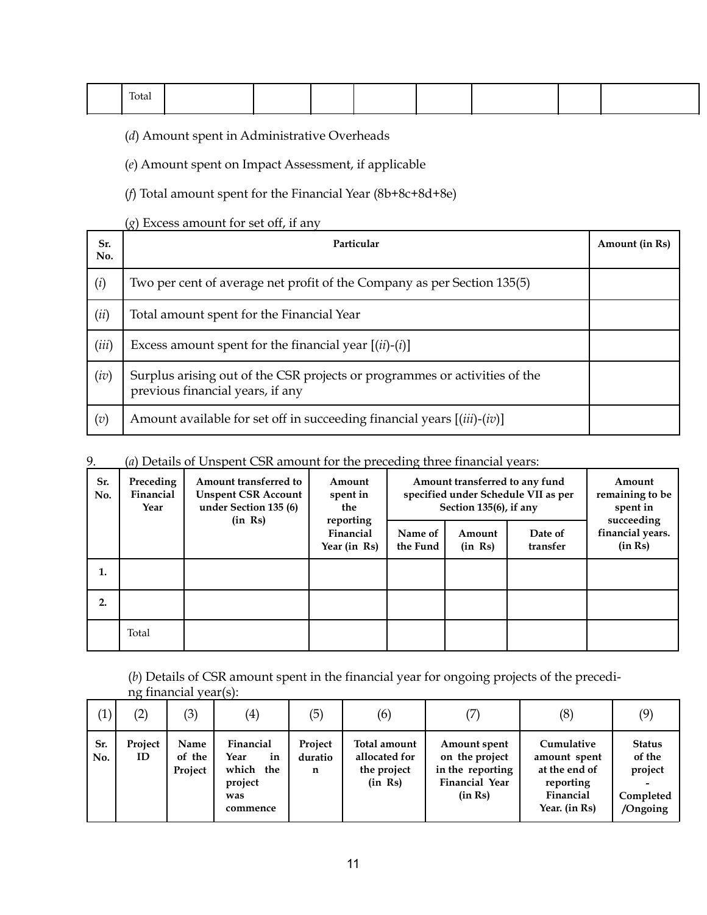| Total |  |  |  |  |
|-------|--|--|--|--|
|       |  |  |  |  |

(*d*) Amount spent in Administrative Overheads

(*e*) Amount spent on Impact Assessment, if applicable

(*f*) Total amount spent for the Financial Year (8b+8c+8d+8e)

(*g*) Excess amount for set off, if any

| Sr.<br>No. | Particular                                                                                                     | Amount (in Rs) |
|------------|----------------------------------------------------------------------------------------------------------------|----------------|
| (i)        | Two per cent of average net profit of the Company as per Section 135(5)                                        |                |
| (ii)       | Total amount spent for the Financial Year                                                                      |                |
| (iii)      | Excess amount spent for the financial year $[(ii)-(i)]$                                                        |                |
| (iv)       | Surplus arising out of the CSR projects or programmes or activities of the<br>previous financial years, if any |                |
| (v)        | Amount available for set off in succeeding financial years [(iii)-(iv)]                                        |                |

### 9. (*a*) Details of Unspent CSR amount for the preceding three financial years:

| Sr.<br>No. | Preceding<br>Amount transferred to<br>Amount<br>Financial<br><b>Unspent CSR Account</b><br>spent in<br>under Section 135 (6)<br>Year<br>the |         |                                        |                     | Amount transferred to any fund<br>specified under Schedule VII as per<br>Section 135(6), if any | Amount<br>remaining to be<br>spent in |                                           |
|------------|---------------------------------------------------------------------------------------------------------------------------------------------|---------|----------------------------------------|---------------------|-------------------------------------------------------------------------------------------------|---------------------------------------|-------------------------------------------|
|            |                                                                                                                                             | (in Rs) | reporting<br>Financial<br>Year (in Rs) | Name of<br>the Fund | Amount<br>(in Rs)                                                                               | Date of<br>transfer                   | succeeding<br>financial years.<br>(in Rs) |
| 1.         |                                                                                                                                             |         |                                        |                     |                                                                                                 |                                       |                                           |
| 2.         |                                                                                                                                             |         |                                        |                     |                                                                                                 |                                       |                                           |
|            | Total                                                                                                                                       |         |                                        |                     |                                                                                                 |                                       |                                           |

(*b*) Details of CSR amount spent in the financial year for ongoing projects of the preceding financial year(s):

| $\left(1\right)$ | $\left( 2\right)$ | (3)                       | $\left( 4\right)$                                                     | (5)                     | (6)                                                     |                                                                                        | (8)                                                                                    | (9)                                                         |
|------------------|-------------------|---------------------------|-----------------------------------------------------------------------|-------------------------|---------------------------------------------------------|----------------------------------------------------------------------------------------|----------------------------------------------------------------------------------------|-------------------------------------------------------------|
| Sr.<br>No.       | Project<br>ID     | Name<br>of the<br>Project | Financial<br>Year<br>in<br>which<br>the<br>project<br>was<br>commence | Project<br>duratio<br>n | Total amount<br>allocated for<br>the project<br>(in Rs) | Amount spent<br>on the project<br>in the reporting<br><b>Financial Year</b><br>(in Rs) | Cumulative<br>amount spent<br>at the end of<br>reporting<br>Financial<br>Year. (in Rs) | <b>Status</b><br>of the<br>project<br>Completed<br>/Ongoing |